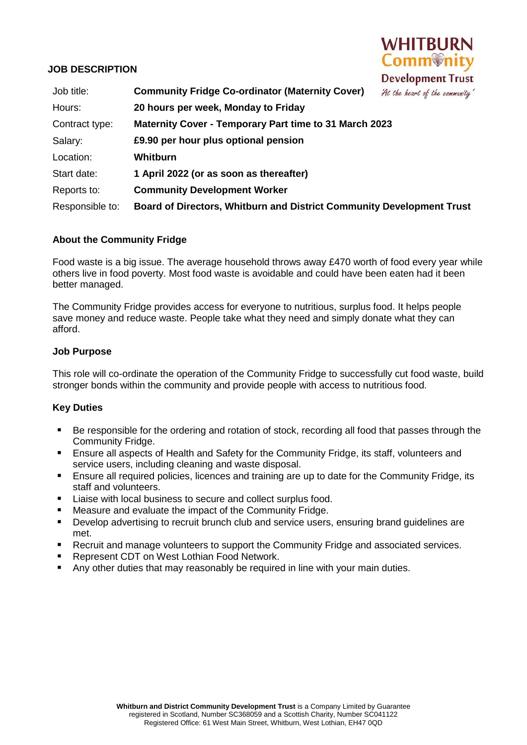## **JOB DESCRIPTION**



| Job title:      | <b>Community Fridge Co-ordinator (Maternity Cover)</b><br>At the heart of the community' |
|-----------------|------------------------------------------------------------------------------------------|
| Hours:          | 20 hours per week, Monday to Friday                                                      |
| Contract type:  | <b>Maternity Cover - Temporary Part time to 31 March 2023</b>                            |
| Salary:         | £9.90 per hour plus optional pension                                                     |
| Location:       | Whitburn                                                                                 |
| Start date:     | 1 April 2022 (or as soon as thereafter)                                                  |
| Reports to:     | <b>Community Development Worker</b>                                                      |
| Responsible to: | <b>Board of Directors, Whitburn and District Community Development Trust</b>             |

## **About the Community Fridge**

Food waste is a big issue. The average household throws away £470 worth of food every year while others live in food poverty. Most food waste is avoidable and could have been eaten had it been better managed.

The Community Fridge provides access for everyone to nutritious, surplus food. It helps people save money and reduce waste. People take what they need and simply donate what they can afford.

## **Job Purpose**

This role will co-ordinate the operation of the Community Fridge to successfully cut food waste, build stronger bonds within the community and provide people with access to nutritious food.

## **Key Duties**

- Be responsible for the ordering and rotation of stock, recording all food that passes through the Community Fridge.
- Ensure all aspects of Health and Safety for the Community Fridge, its staff, volunteers and service users, including cleaning and waste disposal.
- Ensure all required policies, licences and training are up to date for the Community Fridge, its staff and volunteers.
- **Liaise with local business to secure and collect surplus food.**
- Measure and evaluate the impact of the Community Fridge.
- Develop advertising to recruit brunch club and service users, ensuring brand guidelines are met.
- **Recruit and manage volunteers to support the Community Fridge and associated services.**
- Represent CDT on West Lothian Food Network.
- Any other duties that may reasonably be required in line with your main duties.